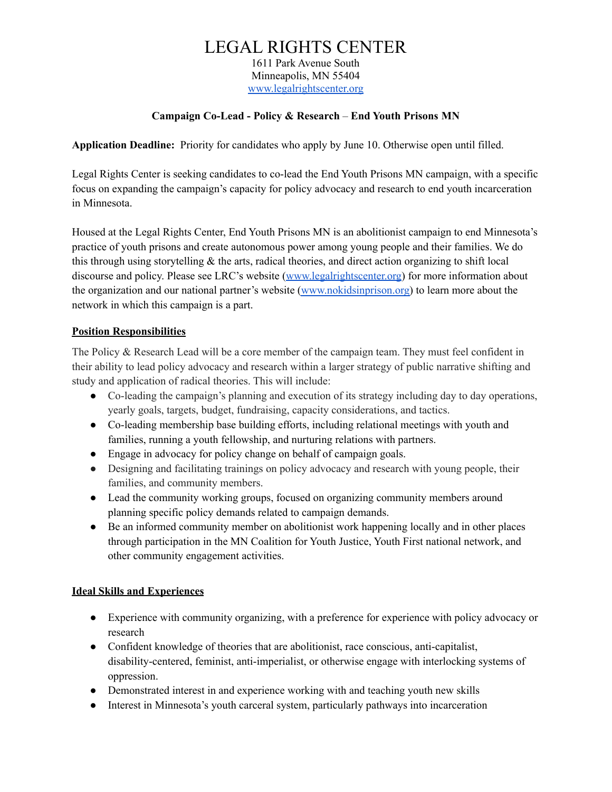# LEGAL RIGHTS CENTER

1611 Park Avenue South Minneapolis, MN 55404 [www.legalrightscenter.org](http://www.legalrightscenter.org/)

### **Campaign Co-Lead - Policy & Research** – **End Youth Prisons MN**

**Application Deadline:** Priority for candidates who apply by June 10. Otherwise open until filled.

Legal Rights Center is seeking candidates to co-lead the End Youth Prisons MN campaign, with a specific focus on expanding the campaign's capacity for policy advocacy and research to end youth incarceration in Minnesota.

Housed at the Legal Rights Center, End Youth Prisons MN is an abolitionist campaign to end Minnesota's practice of youth prisons and create autonomous power among young people and their families. We do this through using storytelling  $\&$  the arts, radical theories, and direct action organizing to shift local discourse and policy. Please see LRC's website [\(www.legalrightscenter.org\)](http://www.legalrightscenter.org/) for more information about the organization and our national partner's website [\(www.nokidsinprison.org\)](https://www.nokidsinprison.org) to learn more about the network in which this campaign is a part.

#### **Position Responsibilities**

The Policy & Research Lead will be a core member of the campaign team. They must feel confident in their ability to lead policy advocacy and research within a larger strategy of public narrative shifting and study and application of radical theories. This will include:

- Co-leading the campaign's planning and execution of its strategy including day to day operations, yearly goals, targets, budget, fundraising, capacity considerations, and tactics.
- Co-leading membership base building efforts, including relational meetings with youth and families, running a youth fellowship, and nurturing relations with partners.
- Engage in advocacy for policy change on behalf of campaign goals.
- Designing and facilitating trainings on policy advocacy and research with young people, their families, and community members.
- Lead the community working groups, focused on organizing community members around planning specific policy demands related to campaign demands.
- Be an informed community member on abolitionist work happening locally and in other places through participation in the MN Coalition for Youth Justice, Youth First national network, and other community engagement activities.

### **Ideal Skills and Experiences**

- Experience with community organizing, with a preference for experience with policy advocacy or research
- Confident knowledge of theories that are abolitionist, race conscious, anti-capitalist, disability-centered, feminist, anti-imperialist, or otherwise engage with interlocking systems of oppression.
- Demonstrated interest in and experience working with and teaching youth new skills
- Interest in Minnesota's youth carceral system, particularly pathways into incarceration